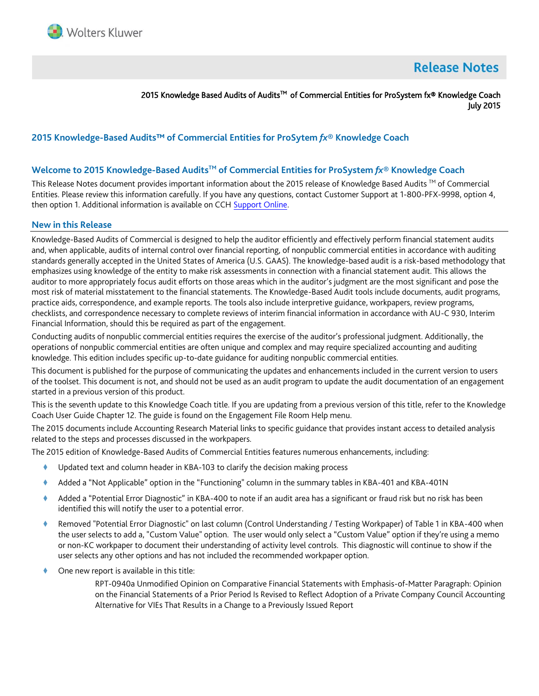

# **Release Notes**

2015 Knowledge Based Audits of Audits™ of Commercial Entities for ProSystem fx® Knowledge Coach July 2015

# **2015 Knowledge-Based Audits™ of Commercial Entities for ProSytem** *fx***® Knowledge Coach**

#### **Welcome to 2015 Knowledge-Based AuditsTM of Commercial Entities for ProSystem** *fx***® Knowledge Coach**

This Release Notes document provides important information about the 2015 release of Knowledge Based Audits ™ of Commercial Entities. Please review this information carefully. If you have any questions, contact Customer Support at 1-800-PFX-9998, option 4, then option 1. Additional information is available on CCH [Support Online.](http://support.cch.com/productsupport/)

#### **New in this Release**

Knowledge-Based Audits of Commercial is designed to help the auditor efficiently and effectively perform financial statement audits and, when applicable, audits of internal control over financial reporting, of nonpublic commercial entities in accordance with auditing standards generally accepted in the United States of America (U.S. GAAS). The knowledge-based audit is a risk-based methodology that emphasizes using knowledge of the entity to make risk assessments in connection with a financial statement audit. This allows the auditor to more appropriately focus audit efforts on those areas which in the auditor's judgment are the most significant and pose the most risk of material misstatement to the financial statements. The Knowledge-Based Audit tools include documents, audit programs, practice aids, correspondence, and example reports. The tools also include interpretive guidance, workpapers, review programs, checklists, and correspondence necessary to complete reviews of interim financial information in accordance with AU-C 930, Interim Financial Information, should this be required as part of the engagement.

Conducting audits of nonpublic commercial entities requires the exercise of the auditor's professional judgment. Additionally, the operations of nonpublic commercial entities are often unique and complex and may require specialized accounting and auditing knowledge. This edition includes specific up-to-date guidance for auditing nonpublic commercial entities.

This document is published for the purpose of communicating the updates and enhancements included in the current version to users of the toolset. This document is not, and should not be used as an audit program to update the audit documentation of an engagement started in a previous version of this product.

This is the seventh update to this Knowledge Coach title. If you are updating from a previous version of this title, refer to the Knowledge Coach User Guide Chapter 12. The guide is found on the Engagement File Room Help menu.

The 2015 documents include Accounting Research Material links to specific guidance that provides instant access to detailed analysis related to the steps and processes discussed in the workpapers.

The 2015 edition of Knowledge-Based Audits of Commercial Entities features numerous enhancements, including:

- Updated text and column header in KBA-103 to clarify the decision making process
- Added a "Not Applicable" option in the "Functioning" column in the summary tables in KBA-401 and KBA-401N
- Added a "Potential Error Diagnostic" in KBA-400 to note if an audit area has a significant or fraud risk but no risk has been identified this will notify the user to a potential error.
- Removed "Potential Error Diagnostic" on last column (Control Understanding / Testing Workpaper) of Table 1 in KBA-400 when the user selects to add a, "Custom Value" option. The user would only select a "Custom Value" option if they're using a memo or non-KC workpaper to document their understanding of activity level controls. This diagnostic will continue to show if the user selects any other options and has not included the recommended workpaper option.
- One new report is available in this title:

RPT-0940a Unmodified Opinion on Comparative Financial Statements with Emphasis-of-Matter Paragraph: Opinion on the Financial Statements of a Prior Period Is Revised to Reflect Adoption of a Private Company Council Accounting Alternative for VIEs That Results in a Change to a Previously Issued Report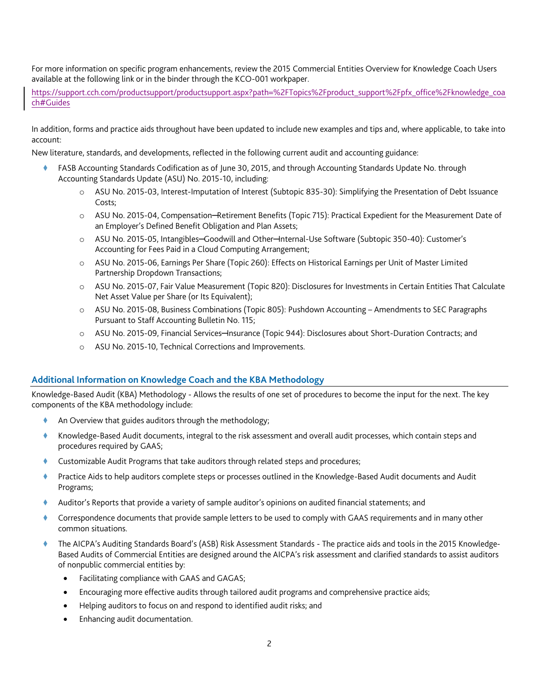For more information on specific program enhancements, review the 2015 Commercial Entities Overview for Knowledge Coach Users available at the following link or in the binder through the KCO-001 workpaper.

https://support.cch.com/productsupport/productsupport.aspx?path=%2FTopics%2Fproduct\_support%2Fpfx\_office%2Fknowledge\_coa ch#Guides

In addition, forms and practice aids throughout have been updated to include new examples and tips and, where applicable, to take into account:

New literature, standards, and developments, reflected in the following current audit and accounting guidance:

- FASB Accounting Standards Codification as of June 30, 2015, and through Accounting Standards Update No. through Accounting Standards Update (ASU) No. 2015-10, including:
	- o ASU No. 2015-03, Interest-Imputation of Interest (Subtopic 835-30): Simplifying the Presentation of Debt Issuance Costs;
	- o ASU No. 2015-04, Compensation─Retirement Benefits (Topic 715): Practical Expedient for the Measurement Date of an Employer's Defined Benefit Obligation and Plan Assets;
	- o ASU No. 2015-05, Intangibles─Goodwill and Other─Internal-Use Software (Subtopic 350-40): Customer's Accounting for Fees Paid in a Cloud Computing Arrangement;
	- o ASU No. 2015-06, Earnings Per Share (Topic 260): Effects on Historical Earnings per Unit of Master Limited Partnership Dropdown Transactions;
	- o ASU No. 2015-07, Fair Value Measurement (Topic 820): Disclosures for Investments in Certain Entities That Calculate Net Asset Value per Share (or Its Equivalent);
	- o ASU No. 2015-08, Business Combinations (Topic 805): Pushdown Accounting Amendments to SEC Paragraphs Pursuant to Staff Accounting Bulletin No. 115;
	- o ASU No. 2015-09, Financial Services─Insurance (Topic 944): Disclosures about Short-Duration Contracts; and
	- o ASU No. 2015-10, Technical Corrections and Improvements.

# **Additional Information on Knowledge Coach and the KBA Methodology**

Knowledge-Based Audit (KBA) Methodology - Allows the results of one set of procedures to become the input for the next. The key components of the KBA methodology include:

- An Overview that guides auditors through the methodology;
- Knowledge-Based Audit documents, integral to the risk assessment and overall audit processes, which contain steps and procedures required by GAAS;
- Customizable Audit Programs that take auditors through related steps and procedures;
- Practice Aids to help auditors complete steps or processes outlined in the Knowledge-Based Audit documents and Audit Programs;
- Auditor's Reports that provide a variety of sample auditor's opinions on audited financial statements; and
- Correspondence documents that provide sample letters to be used to comply with GAAS requirements and in many other common situations.
- The AICPA's Auditing Standards Board's (ASB) Risk Assessment Standards The practice aids and tools in the 2015 Knowledge-Based Audits of Commercial Entities are designed around the AICPA's risk assessment and clarified standards to assist auditors of nonpublic commercial entities by:
	- Facilitating compliance with GAAS and GAGAS;
	- Encouraging more effective audits through tailored audit programs and comprehensive practice aids;
	- Helping auditors to focus on and respond to identified audit risks; and
	- Enhancing audit documentation.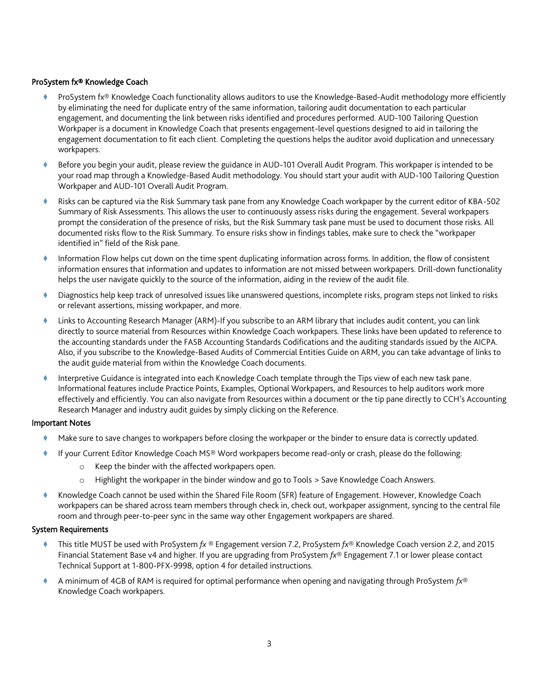## ProSystem fx® Knowledge Coach

- ProSystem fx® Knowledge Coach functionality allows auditors to use the Knowledge-Based-Audit methodology more efficiently by eliminating the need for duplicate entry of the same information, tailoring audit documentation to each particular engagement, and documenting the link between risks identified and procedures performed. AUD-100 Tailoring Question Workpaper is a document in Knowledge Coach that presents engagement-level questions designed to aid in tailoring the engagement documentation to fit each client. Completing the questions helps the auditor avoid duplication and unnecessary workpapers.
- Before you begin your audit, please review the guidance in AUD-101 Overall Audit Program. This workpaper is intended to be your road map through a Knowledge-Based Audit methodology. You should start your audit with AUD-100 Tailoring Question Workpaper and AUD-101 Overall Audit Program.
- Risks can be captured via the Risk Summary task pane from any Knowledge Coach workpaper by the current editor of KBA-502 Summary of Risk Assessments. This allows the user to continuously assess risks during the engagement. Several workpapers prompt the consideration of the presence of risks, but the Risk Summary task pane must be used to document those risks. All documented risks flow to the Risk Summary. To ensure risks show in findings tables, make sure to check the "workpaper identified in" field of the Risk pane.
- Information Flow helps cut down on the time spent duplicating information across forms. In addition, the flow of consistent information ensures that information and updates to information are not missed between workpapers. Drill-down functionality helps the user navigate quickly to the source of the information, aiding in the review of the audit file.
- Diagnostics help keep track of unresolved issues like unanswered questions, incomplete risks, program steps not linked to risks or relevant assertions, missing workpaper, and more.
- Links to Accounting Research Manager (ARM)-If you subscribe to an ARM library that includes audit content, you can link directly to source material from Resources within Knowledge Coach workpapers. These links have been updated to reference to the accounting standards under the FASB Accounting Standards Codifications and the auditing standards issued by the AICPA. Also, if you subscribe to the Knowledge-Based Audits of Commercial Entities Guide on ARM, you can take advantage of links to the audit guide material from within the Knowledge Coach documents.
- Interpretive Guidance is integrated into each Knowledge Coach template through the Tips view of each new task pane. Informational features include Practice Points, Examples, Optional Workpapers, and Resources to help auditors work more effectively and efficiently. You can also navigate from Resources within a document or the tip pane directly to CCH's Accounting Research Manager and industry audit guides by simply clicking on the Reference.

#### Important Notes

- Make sure to save changes to workpapers before closing the workpaper or the binder to ensure data is correctly updated.
- If your Current Editor Knowledge Coach MS® Word workpapers become read-only or crash, please do the following:
	- o Keep the binder with the affected workpapers open.
	- o Highlight the workpaper in the binder window and go to Tools > Save Knowledge Coach Answers.
- Knowledge Coach cannot be used within the Shared File Room (SFR) feature of Engagement. However, Knowledge Coach workpapers can be shared across team members through check in, check out, workpaper assignment, syncing to the central file room and through peer-to-peer sync in the same way other Engagement workpapers are shared.

#### System Requirements

- This title MUST be used with ProSystem *fx* ® Engagement version 7.2, ProSystem *fx*® Knowledge Coach version 2.2, and 2015 Financial Statement Base v4 and higher. If you are upgrading from ProSystem *fx*® Engagement 7.1 or lower please contact Technical Support at 1-800-PFX-9998, option 4 for detailed instructions.
- A minimum of 4GB of RAM is required for optimal performance when opening and navigating through ProSystem *fx*® Knowledge Coach workpapers.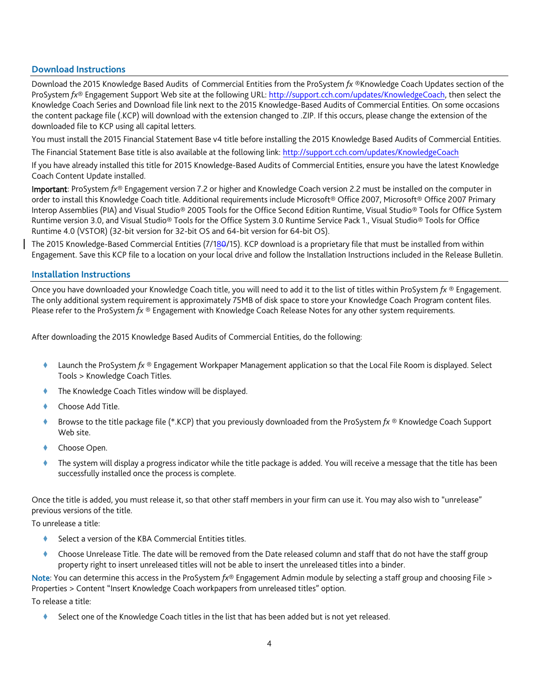## **Download Instructions**

Download the 2015 Knowledge Based Audits of Commercial Entities from the ProSystem *fx* ®Knowledge Coach Updates section of the ProSystem *fx*® Engagement Support Web site at the following URL[: http://support.cch.com/updates/KnowledgeCoach,](http://support.cch.com/updates/KnowledgeCoach) then select the Knowledge Coach Series and Download file link next to the 2015 Knowledge-Based Audits of Commercial Entities. On some occasions the content package file (.KCP) will download with the extension changed to .ZIP. If this occurs, please change the extension of the downloaded file to KCP using all capital letters.

You must install the 2015 Financial Statement Base v4 title before installing the 2015 Knowledge Based Audits of Commercial Entities.

The Financial Statement Base title is also available at the following link:<http://support.cch.com/updates/KnowledgeCoach>

If you have already installed this title for 2015 Knowledge-Based Audits of Commercial Entities, ensure you have the latest Knowledge Coach Content Update installed.

Important: ProSystem *fx*® Engagement version 7.2 or higher and Knowledge Coach version 2.2 must be installed on the computer in order to install this Knowledge Coach title. Additional requirements include Microsoft® Office 2007, Microsoft® Office 2007 Primary Interop Assemblies (PIA) and Visual Studio® 2005 Tools for the Office Second Edition Runtime, Visual Studio® Tools for Office System Runtime version 3.0, and Visual Studio® Tools for the Office System 3.0 Runtime Service Pack 1., Visual Studio® Tools for Office Runtime 4.0 (VSTOR) (32-bit version for 32-bit OS and 64-bit version for 64-bit OS).

The 2015 Knowledge-Based Commercial Entities (7/180/15). KCP download is a proprietary file that must be installed from within Engagement. Save this KCP file to a location on your local drive and follow the Installation Instructions included in the Release Bulletin.

## **Installation Instructions**

Once you have downloaded your Knowledge Coach title, you will need to add it to the list of titles within ProSystem *fx* ® Engagement. The only additional system requirement is approximately 75MB of disk space to store your Knowledge Coach Program content files. Please refer to the ProSystem *fx* ® Engagement with Knowledge Coach Release Notes for any other system requirements.

After downloading the 2015 Knowledge Based Audits of Commercial Entities, do the following:

- Launch the ProSystem *fx* ® Engagement Workpaper Management application so that the Local File Room is displayed. Select Tools > Knowledge Coach Titles.
- The Knowledge Coach Titles window will be displayed.
- Choose Add Title.
- Browse to the title package file (\*.KCP) that you previously downloaded from the ProSystem *fx* ® Knowledge Coach Support Web site.
- Choose Open.
- The system will display a progress indicator while the title package is added. You will receive a message that the title has been successfully installed once the process is complete.

Once the title is added, you must release it, so that other staff members in your firm can use it. You may also wish to "unrelease" previous versions of the title.

To unrelease a title:

- Select a version of the KBA Commercial Entities titles.
- Choose Unrelease Title. The date will be removed from the Date released column and staff that do not have the staff group property right to insert unreleased titles will not be able to insert the unreleased titles into a binder.

Note: You can determine this access in the ProSystem *fx*® Engagement Admin module by selecting a staff group and choosing File > Properties > Content "Insert Knowledge Coach workpapers from unreleased titles" option.

To release a title:

Select one of the Knowledge Coach titles in the list that has been added but is not yet released.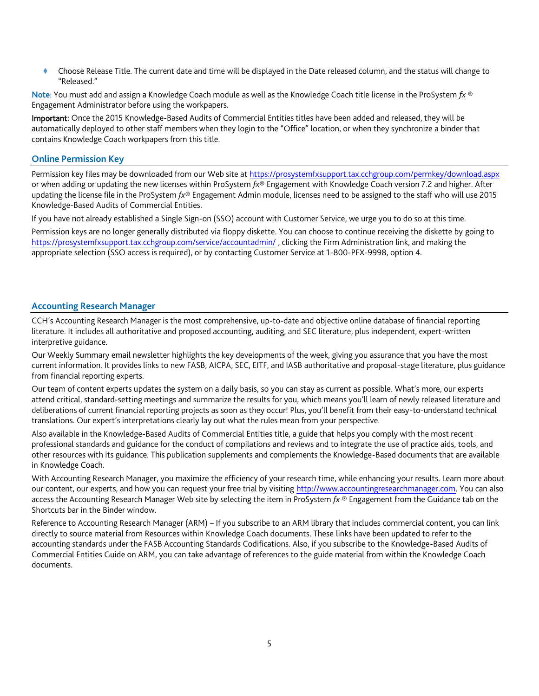Choose Release Title. The current date and time will be displayed in the Date released column, and the status will change to "Released."

Note: You must add and assign a Knowledge Coach module as well as the Knowledge Coach title license in the ProSystem *fx* ® Engagement Administrator before using the workpapers.

Important: Once the 2015 Knowledge-Based Audits of Commercial Entities titles have been added and released, they will be automatically deployed to other staff members when they login to the "Office" location, or when they synchronize a binder that contains Knowledge Coach workpapers from this title.

#### **Online Permission Key**

Permission key files may be downloaded from our Web site a[t https://prosystemfxsupport.tax.cchgroup.com/permkey/download.aspx](https://prosystemfxsupport.tax.cchgroup.com/permkey/download.aspx)  or when adding or updating the new licenses within ProSystem *fx*® Engagement with Knowledge Coach version 7.2 and higher. After updating the license file in the ProSystem *fx*® Engagement Admin module, licenses need to be assigned to the staff who will use 2015 Knowledge-Based Audits of Commercial Entities.

If you have not already established a Single Sign-on (SSO) account with Customer Service, we urge you to do so at this time.

Permission keys are no longer generally distributed via floppy diskette. You can choose to continue receiving the diskette by going to <https://prosystemfxsupport.tax.cchgroup.com/service/accountadmin/> , clicking the Firm Administration link, and making the appropriate selection (SSO access is required), or by contacting Customer Service at 1-800-PFX-9998, option 4.

#### **Accounting Research Manager**

CCH's Accounting Research Manager is the most comprehensive, up-to-date and objective online database of financial reporting literature. It includes all authoritative and proposed accounting, auditing, and SEC literature, plus independent, expert-written interpretive guidance.

Our Weekly Summary email newsletter highlights the key developments of the week, giving you assurance that you have the most current information. It provides links to new FASB, AICPA, SEC, EITF, and IASB authoritative and proposal-stage literature, plus guidance from financial reporting experts.

Our team of content experts updates the system on a daily basis, so you can stay as current as possible. What's more, our experts attend critical, standard-setting meetings and summarize the results for you, which means you'll learn of newly released literature and deliberations of current financial reporting projects as soon as they occur! Plus, you'll benefit from their easy-to-understand technical translations. Our expert's interpretations clearly lay out what the rules mean from your perspective.

Also available in the Knowledge-Based Audits of Commercial Entities title, a guide that helps you comply with the most recent professional standards and guidance for the conduct of compilations and reviews and to integrate the use of practice aids, tools, and other resources with its guidance. This publication supplements and complements the Knowledge-Based documents that are available in Knowledge Coach.

With Accounting Research Manager, you maximize the efficiency of your research time, while enhancing your results. Learn more about our content, our experts, and how you can request your free trial by visiting [http://www.accountingresearchmanager.com.](http://www.accountingresearchmanager.com/) You can also access the Accounting Research Manager Web site by selecting the item in ProSystem *fx* ® Engagement from the Guidance tab on the Shortcuts bar in the Binder window.

Reference to Accounting Research Manager (ARM) – If you subscribe to an ARM library that includes commercial content, you can link directly to source material from Resources within Knowledge Coach documents. These links have been updated to refer to the accounting standards under the FASB Accounting Standards Codifications. Also, if you subscribe to the Knowledge-Based Audits of Commercial Entities Guide on ARM, you can take advantage of references to the guide material from within the Knowledge Coach documents.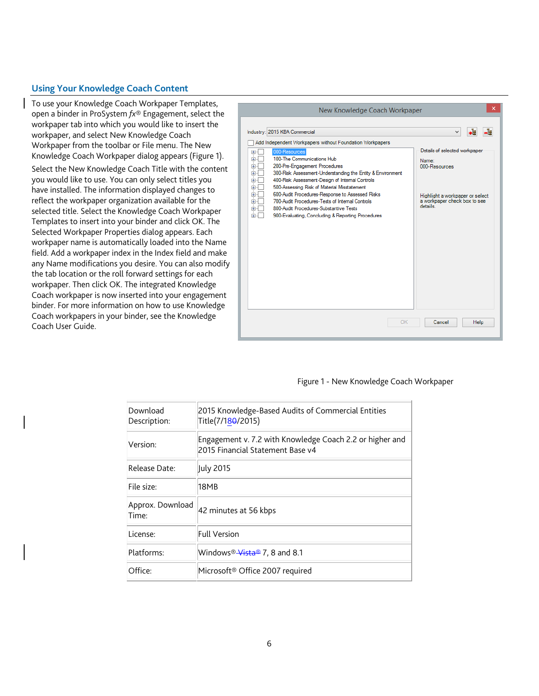## **Using Your Knowledge Coach Content**

To use your Knowledge Coach Workpaper Templates, open a binder in ProSystem *fx*® Engagement, select the workpaper tab into which you would like to insert the workpaper, and select New Knowledge Coach Workpaper from the toolbar or File menu. The New Knowledge Coach Workpaper dialog appears (Figure 1).

Select the New Knowledge Coach Title with the content you would like to use. You can only select titles you have installed. The information displayed changes to reflect the workpaper organization available for the selected title. Select the Knowledge Coach Workpaper Templates to insert into your binder and click OK. The Selected Workpaper Properties dialog appears. Each workpaper name is automatically loaded into the Name field. Add a workpaper index in the Index field and make any Name modifications you desire. You can also modify the tab location or the roll forward settings for each workpaper. Then click OK. The integrated Knowledge Coach workpaper is now inserted into your engagement binder. For more information on how to use Knowledge Coach workpapers in your binder, see the Knowledge Coach User Guide.



#### Figure 1 - New Knowledge Coach Workpaper

| Download<br>Description:  | 2015 Knowledge-Based Audits of Commercial Entities<br>Title(7/18 <del>0</del> /2015)         |
|---------------------------|----------------------------------------------------------------------------------------------|
| Version:                  | Engagement v. 7.2 with Knowledge Coach 2.2 or higher and<br>2015 Financial Statement Base v4 |
| Release Date:             | July 2015                                                                                    |
| File size:                | 18MB                                                                                         |
| Approx. Download<br>Time: | 42 minutes at 56 kbps                                                                        |
| License:                  | <b>Full Version</b>                                                                          |
| Platforms:                | Windows® <del>Vista®</del> 7, 8 and 8.1                                                      |
| Office:                   | Microsoft <sup>®</sup> Office 2007 required                                                  |